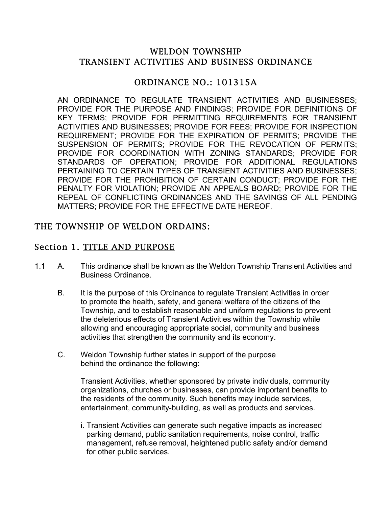#### WELDON TOWNSHIP TRANSIENT ACTIVITIES AND BUSINESS ORDINANCE

#### ORDINANCE NO.: 101315A

AN ORDINANCE TO REGULATE TRANSIENT ACTIVITIES AND BUSINESSES; PROVIDE FOR THE PURPOSE AND FINDINGS; PROVIDE FOR DEFINITIONS OF KEY TERMS; PROVIDE FOR PERMITTING REQUIREMENTS FOR TRANSIENT ACTIVITIES AND BUSINESSES; PROVIDE FOR FEES; PROVIDE FOR INSPECTION REQUIREMENT; PROVIDE FOR THE EXPIRATION OF PERMITS; PROVIDE THE SUSPENSION OF PERMITS; PROVIDE FOR THE REVOCATION OF PERMITS; PROVIDE FOR COORDINATION WITH ZONING STANDARDS; PROVIDE FOR STANDARDS OF OPERATION; PROVIDE FOR ADDITIONAL REGULATIONS PERTAINING TO CERTAIN TYPES OF TRANSIENT ACTIVITIES AND BUSINESSES; PROVIDE FOR THE PROHIBITION OF CERTAIN CONDUCT; PROVIDE FOR THE PENALTY FOR VIOLATION; PROVIDE AN APPEALS BOARD; PROVIDE FOR THE REPEAL OF CONFLICTING ORDINANCES AND THE SAVINGS OF ALL PENDING MATTERS; PROVIDE FOR THE EFFECTIVE DATE HEREOF.

#### THE TOWNSHIP OF WELDON ORDAINS:

## Section 1. TITLE AND PURPOSE

- 1.1 A. This ordinance shall be known as the Weldon Township Transient Activities and Business Ordinance.
	- B. It is the purpose of this Ordinance to regulate Transient Activities in order to promote the health, safety, and general welfare of the citizens of the Township, and to establish reasonable and uniform regulations to prevent the deleterious effects of Transient Activities within the Township while allowing and encouraging appropriate social, community and business activities that strengthen the community and its economy.
	- C. Weldon Township further states in support of the purpose behind the ordinance the following:

Transient Activities, whether sponsored by private individuals, community organizations, churches or businesses, can provide important benefits to the residents of the community. Such benefits may include services, entertainment, community-building, as well as products and services.

i. Transient Activities can generate such negative impacts as increased parking demand, public sanitation requirements, noise control, traffic management, refuse removal, heightened public safety and/or demand for other public services.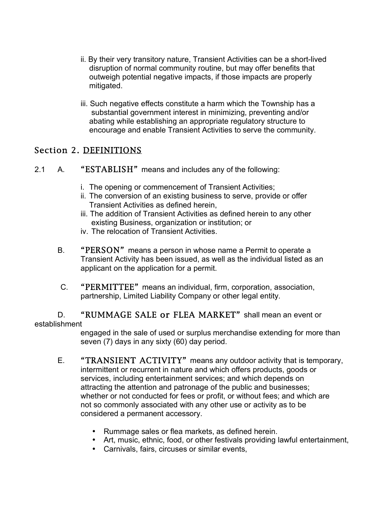- ii. By their very transitory nature, Transient Activities can be a short-lived disruption of normal community routine, but may offer benefits that outweigh potential negative impacts, if those impacts are properly mitigated.
- iii. Such negative effects constitute a harm which the Township has a substantial government interest in minimizing, preventing and/or abating while establishing an appropriate regulatory structure to encourage and enable Transient Activities to serve the community.

#### Section 2. DEFINITIONS

- 2.1 A. "ESTABLISH" means and includes any of the following:
	- i. The opening or commencement of Transient Activities;
	- ii. The conversion of an existing business to serve, provide or offer Transient Activities as defined herein,
	- iii. The addition of Transient Activities as defined herein to any other existing Business, organization or institution; or
	- iv. The relocation of Transient Activities.
	- B. "PERSON" means a person in whose name a Permit to operate a Transient Activity has been issued, as well as the individual listed as an applicant on the application for a permit.
	- C. "PERMITTEE" means an individual, firm, corporation, association, partnership, Limited Liability Company or other legal entity.

D. "RUMMAGE SALE or FLEA MARKET" shall mean an event or establishment

engaged in the sale of used or surplus merchandise extending for more than seven (7) days in any sixty (60) day period.

- E. "TRANSIENT ACTIVITY" means any outdoor activity that is temporary, intermittent or recurrent in nature and which offers products, goods or services, including entertainment services; and which depends on attracting the attention and patronage of the public and businesses; whether or not conducted for fees or profit, or without fees; and which are not so commonly associated with any other use or activity as to be considered a permanent accessory.
	- Rummage sales or flea markets, as defined herein.
	- Art, music, ethnic, food, or other festivals providing lawful entertainment,
	- Carnivals, fairs, circuses or similar events,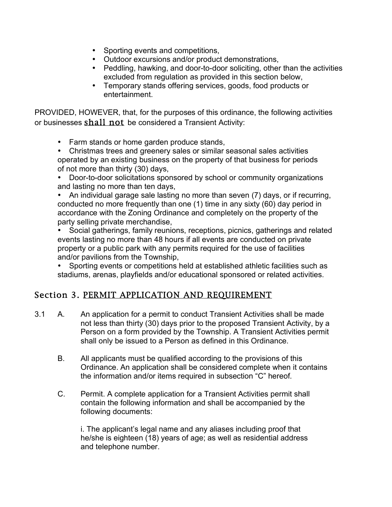- Sporting events and competitions,
- Outdoor excursions and/or product demonstrations,
- Peddling, hawking, and door-to-door soliciting, other than the activities excluded from regulation as provided in this section below,
- Temporary stands offering services, goods, food products or entertainment.

PROVIDED, HOWEVER, that, for the purposes of this ordinance, the following activities or businesses shall not be considered a Transient Activity:

- Farm stands or home garden produce stands,
- Christmas trees and greenery sales or similar seasonal sales activities operated by an existing business on the property of that business for periods of not more than thirty (30) days,

• Door-to-door solicitations sponsored by school or community organizations and lasting no more than ten days,

• An individual garage sale lasting no more than seven (7) days, or if recurring, conducted no more frequently than one (1) time in any sixty (60) day period in accordance with the Zoning Ordinance and completely on the property of the party selling private merchandise,

• Social gatherings, family reunions, receptions, picnics, gatherings and related events lasting no more than 48 hours if all events are conducted on private property or a public park with any permits required for the use of facilities and/or pavilions from the Township,

• Sporting events or competitions held at established athletic facilities such as stadiums, arenas, playfields and/or educational sponsored or related activities.

# Section 3. PERMIT APPLICATION AND REQUIREMENT

- 3.1 A. An application for a permit to conduct Transient Activities shall be made not less than thirty (30) days prior to the proposed Transient Activity, by a Person on a form provided by the Township. A Transient Activities permit shall only be issued to a Person as defined in this Ordinance.
	- B. All applicants must be qualified according to the provisions of this Ordinance. An application shall be considered complete when it contains the information and/or items required in subsection "C" hereof.
	- C. Permit. A complete application for a Transient Activities permit shall contain the following information and shall be accompanied by the following documents:

i. The applicant's legal name and any aliases including proof that he/she is eighteen (18) years of age; as well as residential address and telephone number.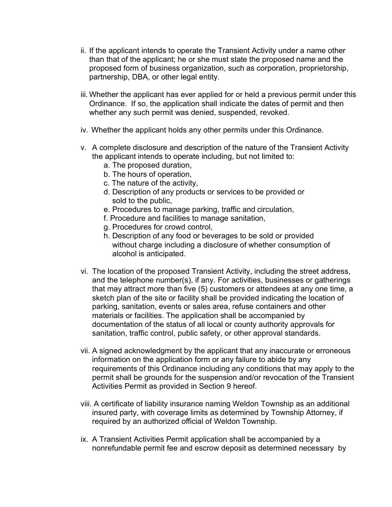- ii. If the applicant intends to operate the Transient Activity under a name other than that of the applicant; he or she must state the proposed name and the proposed form of business organization, such as corporation, proprietorship, partnership, DBA, or other legal entity.
- iii. Whether the applicant has ever applied for or held a previous permit under this Ordinance. If so, the application shall indicate the dates of permit and then whether any such permit was denied, suspended, revoked.
- iv. Whether the applicant holds any other permits under this Ordinance.
- v. A complete disclosure and description of the nature of the Transient Activity the applicant intends to operate including, but not limited to:
	- a. The proposed duration,
	- b. The hours of operation,
	- c. The nature of the activity,
	- d. Description of any products or services to be provided or sold to the public,
	- e. Procedures to manage parking, traffic and circulation,
	- f. Procedure and facilities to manage sanitation,
	- g. Procedures for crowd control,
	- h. Description of any food or beverages to be sold or provided without charge including a disclosure of whether consumption of alcohol is anticipated.
- vi. The location of the proposed Transient Activity, including the street address, and the telephone number(s), if any. For activities, businesses or gatherings that may attract more than five (5) customers or attendees at any one time, a sketch plan of the site or facility shall be provided indicating the location of parking, sanitation, events or sales area, refuse containers and other materials or facilities. The application shall be accompanied by documentation of the status of all local or county authority approvals for sanitation, traffic control, public safety, or other approval standards.
- vii. A signed acknowledgment by the applicant that any inaccurate or erroneous information on the application form or any failure to abide by any requirements of this Ordinance including any conditions that may apply to the permit shall be grounds for the suspension and/or revocation of the Transient Activities Permit as provided in Section 9 hereof.
- viii. A certificate of liability insurance naming Weldon Township as an additional insured party, with coverage limits as determined by Township Attorney, if required by an authorized official of Weldon Township.
- ix. A Transient Activities Permit application shall be accompanied by a nonrefundable permit fee and escrow deposit as determined necessary by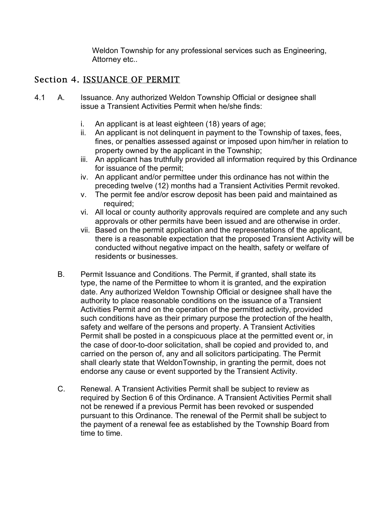Weldon Township for any professional services such as Engineering, Attorney etc..

## Section 4. ISSUANCE OF PERMIT

- 4.1 A. Issuance. Any authorized Weldon Township Official or designee shall issue a Transient Activities Permit when he/she finds:
	- i. An applicant is at least eighteen (18) years of age;
	- ii. An applicant is not delinquent in payment to the Township of taxes, fees, fines, or penalties assessed against or imposed upon him/her in relation to property owned by the applicant in the Township;
	- iii. An applicant has truthfully provided all information required by this Ordinance for issuance of the permit;
	- iv. An applicant and/or permittee under this ordinance has not within the preceding twelve (12) months had a Transient Activities Permit revoked.
	- v. The permit fee and/or escrow deposit has been paid and maintained as required;
	- vi. All local or county authority approvals required are complete and any such approvals or other permits have been issued and are otherwise in order.
	- vii. Based on the permit application and the representations of the applicant, there is a reasonable expectation that the proposed Transient Activity will be conducted without negative impact on the health, safety or welfare of residents or businesses.
	- B. Permit Issuance and Conditions. The Permit, if granted, shall state its type, the name of the Permittee to whom it is granted, and the expiration date. Any authorized Weldon Township Official or designee shall have the authority to place reasonable conditions on the issuance of a Transient Activities Permit and on the operation of the permitted activity, provided such conditions have as their primary purpose the protection of the health, safety and welfare of the persons and property. A Transient Activities Permit shall be posted in a conspicuous place at the permitted event or, in the case of door-to-door solicitation, shall be copied and provided to, and carried on the person of, any and all solicitors participating. The Permit shall clearly state that WeldonTownship, in granting the permit, does not endorse any cause or event supported by the Transient Activity.
	- C. Renewal. A Transient Activities Permit shall be subject to review as required by Section 6 of this Ordinance. A Transient Activities Permit shall not be renewed if a previous Permit has been revoked or suspended pursuant to this Ordinance. The renewal of the Permit shall be subject to the payment of a renewal fee as established by the Township Board from time to time.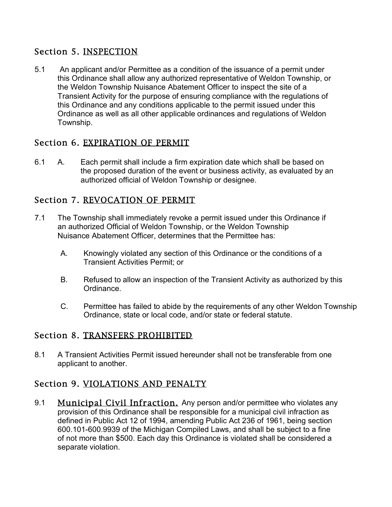# Section 5. INSPECTION

5.1 An applicant and/or Permittee as a condition of the issuance of a permit under this Ordinance shall allow any authorized representative of Weldon Township, or the Weldon Township Nuisance Abatement Officer to inspect the site of a Transient Activity for the purpose of ensuring compliance with the regulations of this Ordinance and any conditions applicable to the permit issued under this Ordinance as well as all other applicable ordinances and regulations of Weldon Township.

## Section 6. EXPIRATION OF PERMIT

6.1 A. Each permit shall include a firm expiration date which shall be based on the proposed duration of the event or business activity, as evaluated by an authorized official of Weldon Township or designee.

## Section 7. REVOCATION OF PERMIT

- 7.1 The Township shall immediately revoke a permit issued under this Ordinance if an authorized Official of Weldon Township, or the Weldon Township Nuisance Abatement Officer, determines that the Permittee has:
	- A. Knowingly violated any section of this Ordinance or the conditions of a Transient Activities Permit; or
	- B. Refused to allow an inspection of the Transient Activity as authorized by this Ordinance.
	- C. Permittee has failed to abide by the requirements of any other Weldon Township Ordinance, state or local code, and/or state or federal statute.

#### Section 8. TRANSFERS PROHIBITED

8.1 A Transient Activities Permit issued hereunder shall not be transferable from one applicant to another.

# Section 9. VIOLATIONS AND PENALTY

9.1 Municipal Civil Infraction. Any person and/or permittee who violates any provision of this Ordinance shall be responsible for a municipal civil infraction as defined in Public Act 12 of 1994, amending Public Act 236 of 1961, being section 600.101-600.9939 of the Michigan Compiled Laws, and shall be subject to a fine of not more than \$500. Each day this Ordinance is violated shall be considered a separate violation.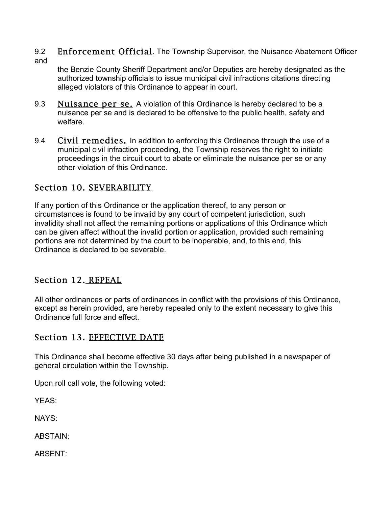9.2 Enforcement Official. The Township Supervisor, the Nuisance Abatement Officer and

the Benzie County Sheriff Department and/or Deputies are hereby designated as the authorized township officials to issue municipal civil infractions citations directing alleged violators of this Ordinance to appear in court.

- 9.3 Nuisance per se. A violation of this Ordinance is hereby declared to be a nuisance per se and is declared to be offensive to the public health, safety and welfare.
- 9.4 Civil remedies. In addition to enforcing this Ordinance through the use of a municipal civil infraction proceeding, the Township reserves the right to initiate proceedings in the circuit court to abate or eliminate the nuisance per se or any other violation of this Ordinance.

# Section 10. SEVERABILITY

If any portion of this Ordinance or the application thereof, to any person or circumstances is found to be invalid by any court of competent jurisdiction, such invalidity shall not affect the remaining portions or applications of this Ordinance which can be given affect without the invalid portion or application, provided such remaining portions are not determined by the court to be inoperable, and, to this end, this Ordinance is declared to be severable.

# Section 12. REPEAL

All other ordinances or parts of ordinances in conflict with the provisions of this Ordinance, except as herein provided, are hereby repealed only to the extent necessary to give this Ordinance full force and effect.

# Section 13. EFFECTIVE DATE

This Ordinance shall become effective 30 days after being published in a newspaper of general circulation within the Township.

Upon roll call vote, the following voted:

YEAS:

NAYS:

ABSTAIN:

ABSENT: